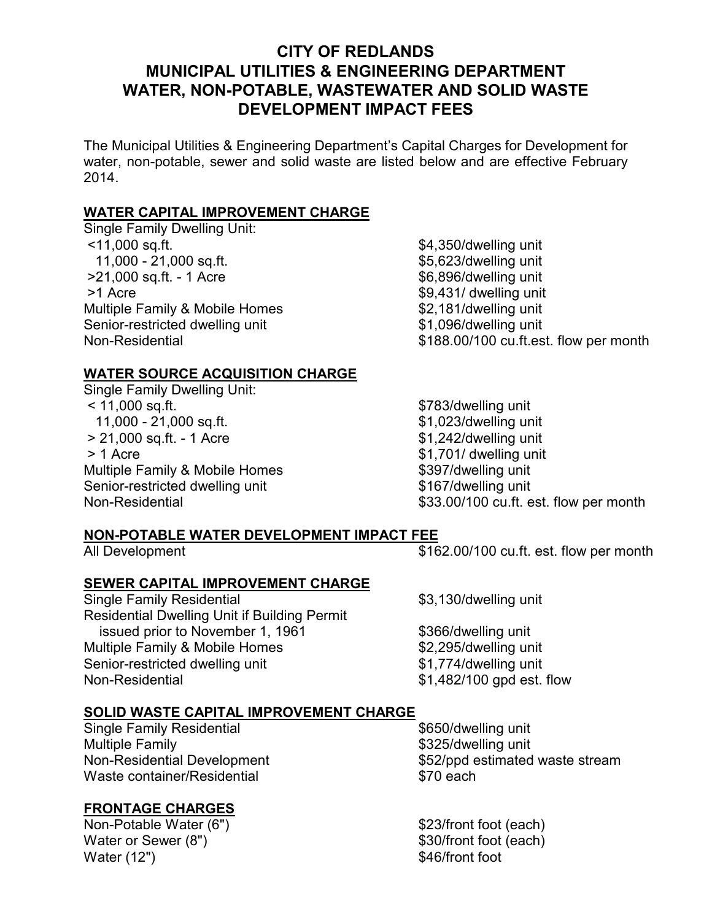# CITY OF REDLANDS MUNICIPAL UTILITIES & ENGINEERING DEPARTMENT WATER, NON-POTABLE, WASTEWATER AND SOLID WASTE DEVELOPMENT IMPACT FEES

The Municipal Utilities & Engineering Department's Capital Charges for Development for water, non-potable, sewer and solid waste are listed below and are effective February 2014.

### WATER CAPITAL IMPROVEMENT CHARGE

Single Family Dwelling Unit: <11,000 sq.ft.  $$4,350$ /dwelling unit 11,000 - 21,000 sq.ft.  $$5,623/dwelling unit$ >21,000 sq.ft. - 1 Acre \$6,896/dwelling unit  $>1$  Acre \$9,431/ dwelling unit Multiple Family & Mobile Homes \$2,181/dwelling unit Senior-restricted dwelling unit<br>
Non-Residential
Some Books and S188,00/100 cu.ft.es

### WATER SOURCE ACQUISITION CHARGE

Single Family Dwelling Unit: < 11,000 sq.ft. \$783/dwelling unit 11,000 - 21,000 sq.ft. > 21,000 sq.ft. - 1 Acre \$1,242/dwelling unit  $> 1$  Acre \$1,701/ dwelling unit Multiple Family & Mobile Homes \$397/dwelling unit Senior-restricted dwelling unit **\$167/dwelling unit** 

\$188.00/100 cu.ft.est. flow per month

Non-Residential  $$33.00/100$  cu.ft. est. flow per month

#### NON-POTABLE WATER DEVELOPMENT IMPACT FEE

All Development  $$162.00/100$  cu.ft. est. flow per month

SEWER CAPITAL IMPROVEMENT CHARGE Single Family Residential \$3,130/dwelling unit Residential Dwelling Unit if Building Permit issued prior to November 1, 1961 \$366/dwelling unit Multiple Family & Mobile Homes \$2,295/dwelling unit Senior-restricted dwelling unit  $$1,774$ /dwelling unit Non-Residential  $$1,482/100$  gpd est. flow

## SOLID WASTE CAPITAL IMPROVEMENT CHARGE

Single Family Residential **\$650/dwelling unit** Multiple Family **Example 18** and the state of the state  $$325$ /dwelling unit Waste container/Residential **\$70 each** 

## FRONTAGE CHARGES

Non-Potable Water (6") \$23/front foot (each) Water or Sewer (8")  $$30/front foot (each)$ Water (12") \$46/front foot

Non-Residential Development **\$52/ppd** estimated waste stream